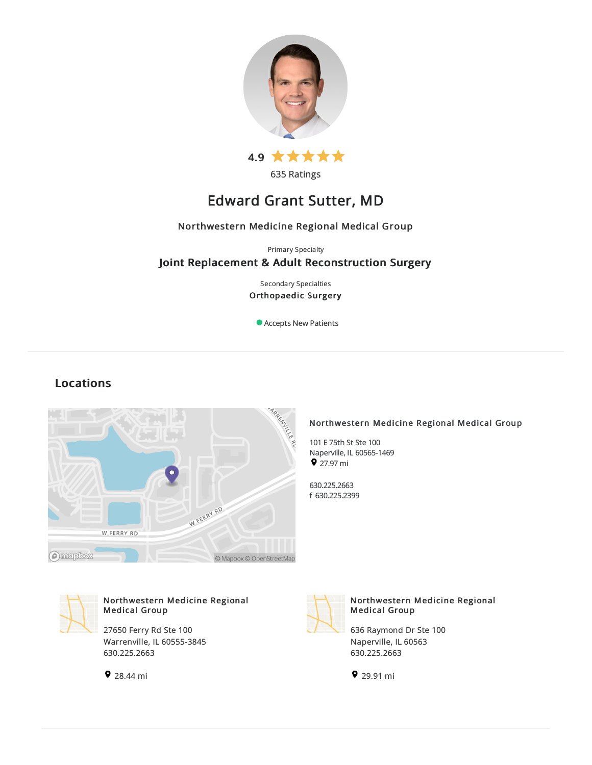

635 Ratings

# Edward Grant Sutter, MD

# Northwestern Medicine Regional Medical Group

Primary Specialty

# Joint Replacement & Adult Reconstruction Surgery

Secondary Specialties Orthopaedic Surgery

Accepts New Patients

# Locations



# Northwestern Medicine Regional Medical Group

101 E 75th St Ste 100 Naperville, IL60565-1469  $\bullet$  27.97 mi

630.225.2663 f 630.225.2399



# Northwestern Medicine Regional Medical Group

27650 Ferry Rd Ste 100 Warrenville, IL 60555-3845 630.225.2663





# Northwestern Medicine Regional Medical Group

636 Raymond Dr Ste 100 Naperville, IL 60563 630.225.2663

29.91 mi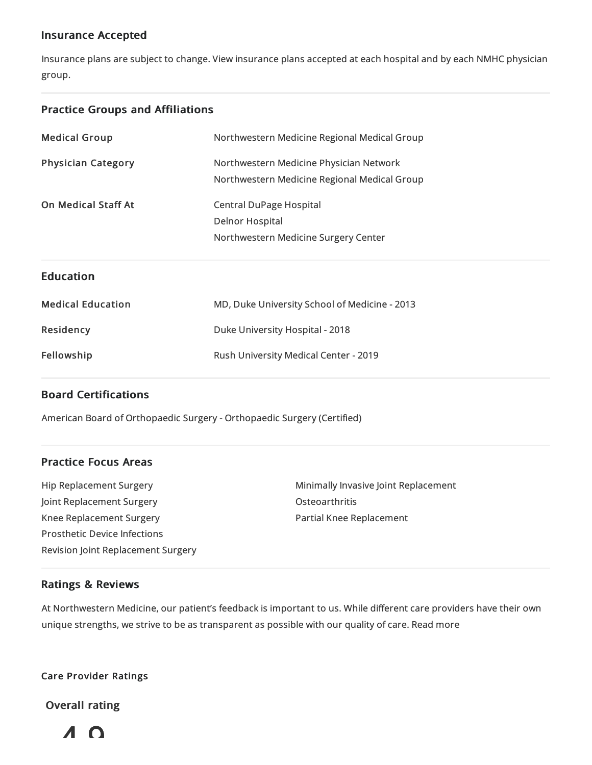# Insurance Accepted

Insurance plans are subject to change. View [insurance](https://www.nm.org/patients-and-visitors/billing-and-insurance/insurance-information/accepted-insurance-plans) plans accepted at each hospital and by each NMHC physician group.

# Practice Groups and Affiliations

| <b>Medical Group</b>       | Northwestern Medicine Regional Medical Group  |
|----------------------------|-----------------------------------------------|
| <b>Physician Category</b>  | Northwestern Medicine Physician Network       |
|                            | Northwestern Medicine Regional Medical Group  |
| <b>On Medical Staff At</b> | <b>Central DuPage Hospital</b>                |
|                            | <b>Delnor Hospital</b>                        |
|                            | Northwestern Medicine Surgery Center          |
|                            |                                               |
| <b>Education</b>           |                                               |
| <b>Medical Education</b>   | MD, Duke University School of Medicine - 2013 |
| Residency                  | Duke University Hospital - 2018               |
| Fellowship                 | Rush University Medical Center - 2019         |

# Board Certifications

American Board of Orthopaedic Surgery - Orthopaedic Surgery (Certified)

# Practice Focus Areas

Hip Replacement Surgery Joint Replacement Surgery Knee Replacement Surgery Prosthetic Device Infections Revision Joint Replacement Surgery Minimally Invasive Joint Replacement **Osteoarthritis** Partial Knee Replacement

# Ratings & Reviews

At Northwestern Medicine, our patient's feedback is important to us. While different care providers have their own unique strengths, we strive to be as transparent as possible with our quality of care. Read more

# Care Provider Ratings

Overall rating

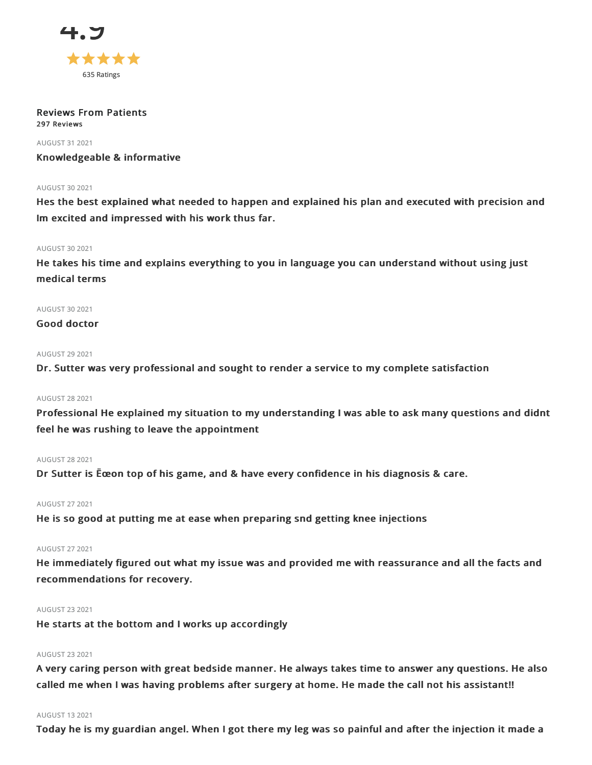

#### Reviews From Patients 297 Reviews

AUGUST 312021

Knowledgeable & informative

#### **AUGUST 30 2021**

Hes the best explained what needed to happen and explained his plan and executed with precision and Im excited and impressed with his work thus far.

#### AUGUST 302021

He takes his time and explains everything to you in language you can understand without using just medical terms

# AUGUST 302021

# Good doctor

### AUGUST 29 2021

Dr. Sutter was very professional and sought to render a service to my complete satisfaction

### AUGUST 282021

Professional He explained my situation to my understanding I was able to ask many questions and didnt feel he was rushing to leave the appointment

#### AUGUST 282021

Dr Sutter is Ëœon top of his game, and & have every confidence in his diagnosis & care.

### AUGUST 272021

He is so good at putting me at ease when preparing snd getting knee injections

# AUGUST 272021

He immediately figured out what my issue was and provided me with reassurance and all the facts and recommendations for recovery.

#### AUGUST 232021

He starts at the bottom and I works up accordingly

### AUGUST 232021

A very caring person with great bedside manner. He always takes time to answer any questions. He also called me when I was having problems after surgery at home. He made the call not his assistant!!

#### AUGUST 132021

Today he is my guardian angel. When I got there my leg was so painful and after the injection it made a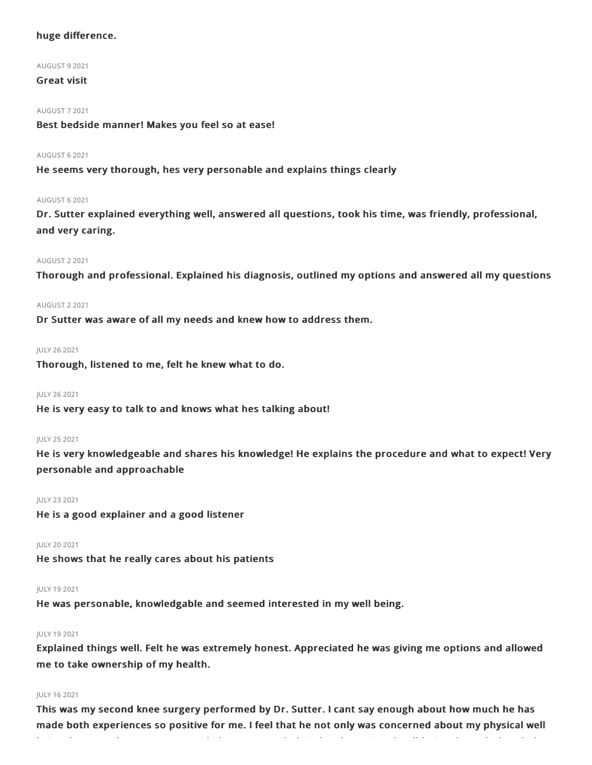# huge difference.

#### AUGUST 92021

# Great visit

#### AUGUST 72021

Best bedside manner! Makes you feel so at ease!

#### AUGUST 62021

He seems very thorough, hes very personable and explains things clearly

#### AUGUST 62021

Dr. Sutter explained everything well, answered all questions, took his time, was friendly, professional, and very caring.

### AUGUST 22021

Thorough and professional. Explained his diagnosis, outlined my options and answered all my questions

#### AUGUST 22021

Dr Sutter was aware of all my needs and knew how to address them.

### JULY 262021

Thorough, listened to me, felt he knew what to do.

#### JULY 262021

He is very easy to talk to and knows what hes talking about!

#### JULY 252021

He is very knowledgeable and shares his knowledge! He explains the procedure and what to expect! Very personable and approachable

#### JULY 232021

He is a good explainer and a good listener

#### JULY 20 2021

He shows that he really cares about his patients

#### JULY 192021

He was personable, knowledgable and seemed interested in my well being.

### JULY 192021

Explained things well. Felt he was extremely honest. Appreciated he was giving me options and allowed me to take ownership of my health.

### JULY 162021

This was my second knee surgery performed by Dr. Sutter. I cant say enough about how much he has made both experiences so positive for me. I feel that he not only was concerned about my physical well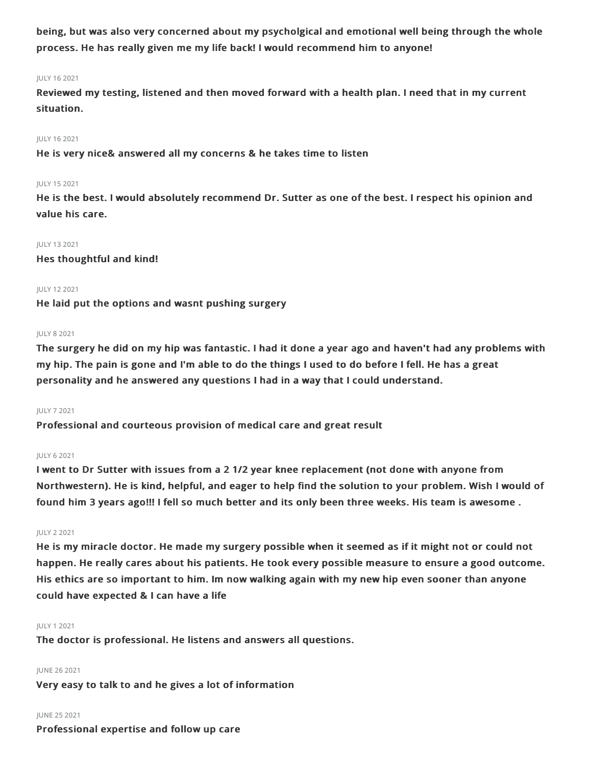being, but was also very concerned about my psycholgical and emotional well being through the whole process. He has really given me my life back! I would recommend him to anyone!

### JULY 162021

Reviewed my testing, listened and then moved forward with a health plan. I need that in my current situation.

#### JULY 162021

He is very nice& answered all my concerns & he takes time to listen

#### JULY 152021

He is the best. I would absolutely recommend Dr. Sutter as one of the best. I respect his opinion and value his care.

#### JULY 132021

Hes thoughtful and kind!

### JULY 122021

He laid put the options and wasnt pushing surgery

#### JULY 82021

The surgery he did on my hip was fantastic. I had it done a year ago and haven't had any problems with my hip. The pain is gone and I'm able to do the things I used to do before I fell. He has a great personality and he answered any questions I had in a way that I could understand.

#### JULY 72021

Professional and courteous provision of medical care and great result

### JULY 62021

I went to Dr Sutter with issues from a 2 1/2 year knee replacement (not done with anyone from Northwestern). He is kind, helpful, and eager to help find the solution to your problem. Wish I would of found him 3 years ago!!! I fell so much better and its only been three weeks. His team is awesome .

#### JULY 22021

He is my miracle doctor. He made my surgery possible when it seemed as if it might not or could not happen. He really cares about his patients. He took every possible measure to ensure a good outcome. His ethics are so important to him. Im now walking again with my new hip even sooner than anyone could have expected & I can have a life

#### JULY 12021

The doctor is professional. He listens and answers all questions.

#### JUNE 262021

Very easy to talk to and he gives a lot of information

# JUNE 252021

Professional expertise and follow up care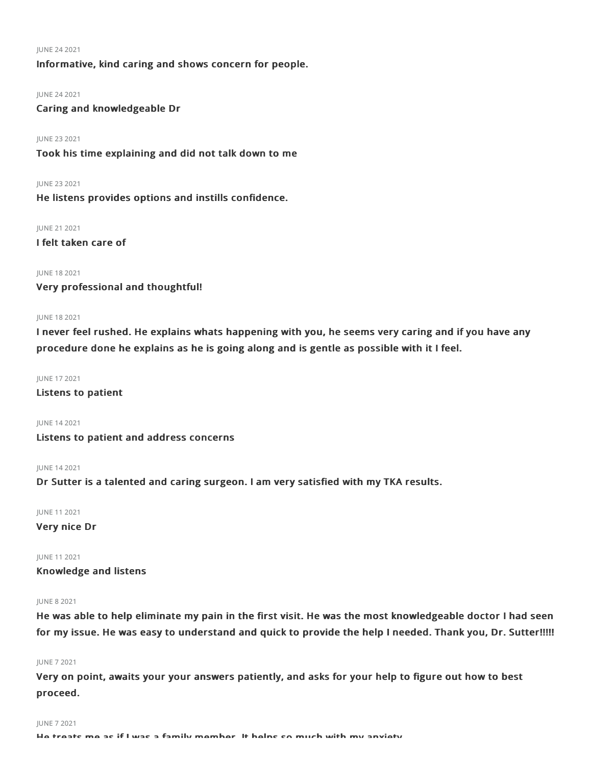#### JUNE 242021

# Informative, kind caring and shows concern for people.

#### JUNE 242021

Caring and knowledgeable Dr

### JUNE 232021

Took his time explaining and did not talk down to me

JUNE 232021

He listens provides options and instills confidence.

JUNE 212021

I felt taken care of

#### JUNE 182021

Very professional and thoughtful!

#### JUNE 182021

I never feel rushed. He explains whats happening with you, he seems very caring and if you have any procedure done he explains as he is going along and is gentle as possible with it I feel.

#### JUNE 172021

Listens to patient

#### JUNE 142021

Listens to patient and address concerns

JUNE 142021

Dr Sutter is a talented and caring surgeon. I am very satisfied with my TKA results.

JUNE 112021

#### Very nice Dr

JUNE 112021

# Knowledge and listens

#### JUNE 82021

He was able to help eliminate my pain in the first visit. He was the most knowledgeable doctor I had seen for my issue. He was easy to understand and quick to provide the help I needed. Thank you, Dr. Sutter!!!!!

#### JUNE 72021

Very on point, awaits your your answers patiently, and asks for your help to figure out how to best proceed.

#### JUNE 72021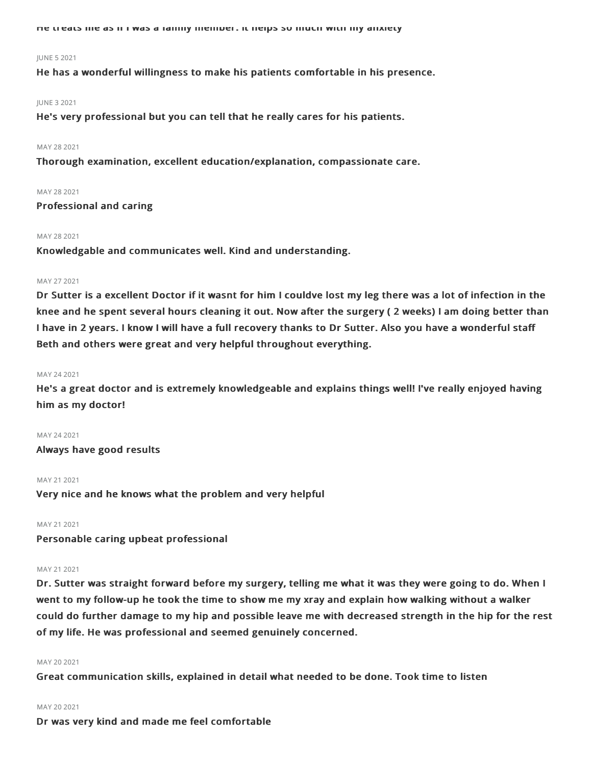He treats me as if I was a family member. It helps so much with my anxiety

#### JUNE 52021

He has a wonderful willingness to make his patients comfortable in his presence.

#### JUNE 32021

He's very professional but you can tell that he really cares for his patients.

#### MAY 28 2021

Thorough examination, excellent education/explanation, compassionate care.

### MAY 28 2021

Professional and caring

#### MAY 28 2021

Knowledgable and communicates well. Kind and understanding.

#### MAY 27 2021

Dr Sutter is a excellent Doctor if it wasnt for him I couldve lost my leg there was a lot of infection in the knee and he spent several hours cleaning it out. Now after the surgery ( 2 weeks) I am doing better than I have in 2 years. I know I will have a full recovery thanks to Dr Sutter. Also you have a wonderful staff Beth and others were great and very helpful throughout everything.

#### MAY 24 2021

He's a great doctor and is extremely knowledgeable and explains things well! I've really enjoyed having him as my doctor!

MAY 24 2021 Always have good results

#### MAY 21 2021

Very nice and he knows what the problem and very helpful

#### MAY 21 2021

Personable caring upbeat professional

#### MAY 21 2021

Dr. Sutter was straight forward before my surgery, telling me what it was they were going to do. When I went to my follow-up he took the time to show me my xray and explain how walking without a walker could do further damage to my hip and possible leave me with decreased strength in the hip for the rest of my life. He was professional and seemed genuinely concerned.

#### MAY 20 2021

Great communication skills, explained in detail what needed to be done. Took time to listen

#### MAY 20 2021

Dr was very kind and made me feel comfortable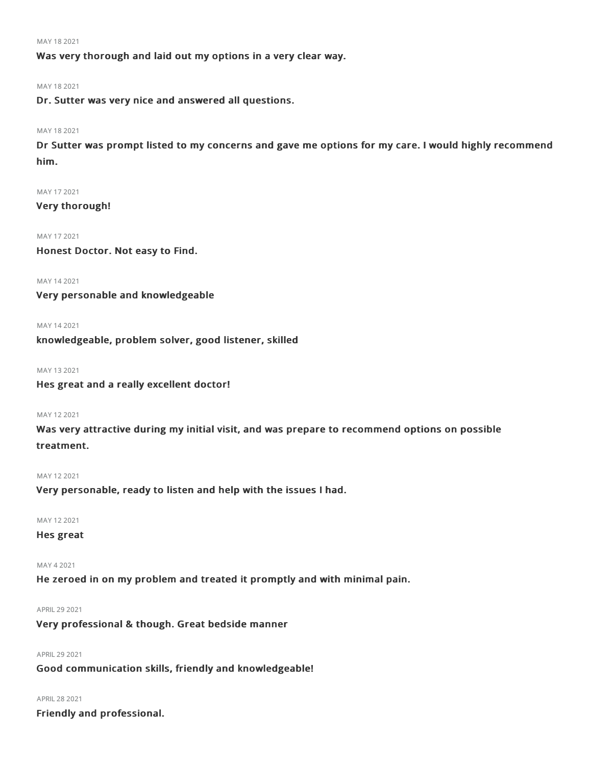MAY 182021

Was very thorough and laid out my options in a very clear way.

MAY 182021

Dr. Sutter was very nice and answered all questions.

#### MAY 182021

Dr Sutter was prompt listed to my concerns and gave me options for my care. I would highly recommend him.

MAY 172021 Very thorough!

MAY 172021 Honest Doctor. Not easy to Find.

MAY 142021

Very personable and knowledgeable

MAY 142021

knowledgeable, problem solver, good listener, skilled

MAY 132021

Hes great and a really excellent doctor!

### MAY 122021

Was very attractive during my initial visit, and was prepare to recommend options on possible treatment.

MAY 122021

Very personable, ready to listen and help with the issues I had.

MAY 122021

Hes great

MAY 42021 He zeroed in on my problem and treated it promptly and with minimal pain.

APRIL 29 2021

Very professional & though. Great bedside manner

APRIL292021 Good communication skills, friendly and knowledgeable!

APRIL282021 Friendly and professional.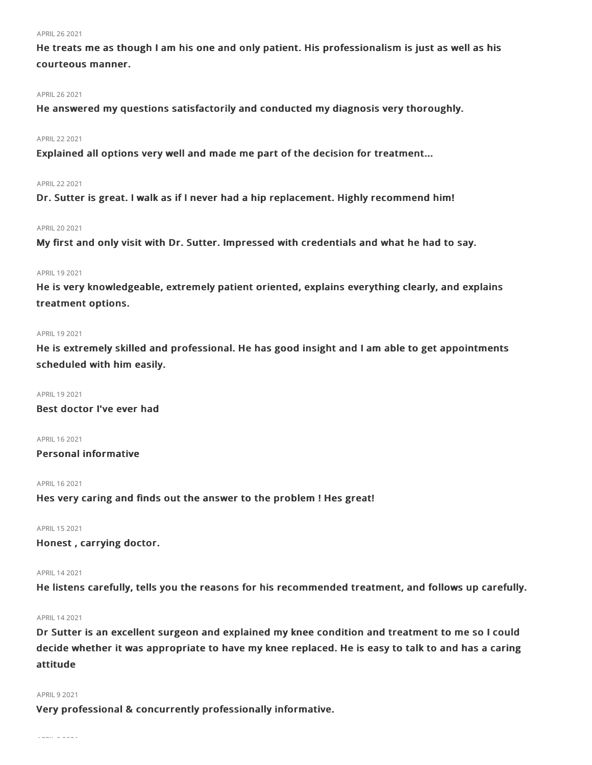#### APRIL262021

He treats me as though I am his one and only patient. His professionalism is just as well as his courteous manner.

#### APRIL262021

He answered my questions satisfactorily and conducted my diagnosis very thoroughly.

### APRIL222021

Explained all options very well and made me part of the decision for treatment...

#### APRIL222021

Dr. Sutter is great. I walk as if I never had a hip replacement. Highly recommend him!

#### APRIL202021

My first and only visit with Dr. Sutter. Impressed with credentials and what he had to say.

#### APRIL 19 2021

He is very knowledgeable, extremely patient oriented, explains everything clearly, and explains treatment options.

#### APRIL 19 2021

He is extremely skilled and professional. He has good insight and I am able to get appointments scheduled with him easily.

#### APRIL 19 2021

Best doctor I've ever had

APRIL 16 2021 Personal informative

APRIL 16 2021

Hes very caring and finds out the answer to the problem ! Hes great!

APRIL 15 2021

Honest , carrying doctor.

#### APRIL142021

He listens carefully, tells you the reasons for his recommended treatment, and follows up carefully.

#### APRIL142021

Dr Sutter is an excellent surgeon and explained my knee condition and treatment to me so I could decide whether it was appropriate to have my knee replaced. He is easy to talk to and has a caring attitude

# APRIL 9 2021

Very professional & concurrently professionally informative.

APRIL92021